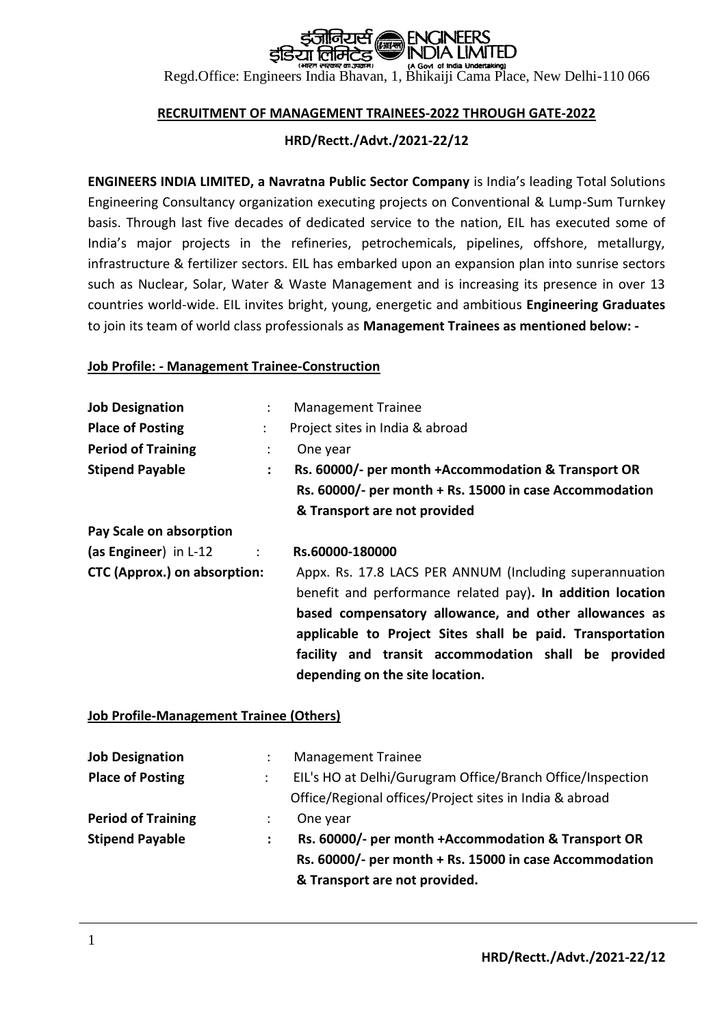Regd.Office: Engineers India Bhavan, 1, Bhikaiji Cama Place, New Delhi-110 066

#### **RECRUITMENT OF MANAGEMENT TRAINEES-2022 THROUGH GATE-2022**

#### **HRD/Rectt./Advt./2021-22/12**

**ENGINEERS INDIA LIMITED, a Navratna Public Sector Company** is India's leading Total Solutions Engineering Consultancy organization executing projects on Conventional & Lump-Sum Turnkey basis. Through last five decades of dedicated service to the nation, EIL has executed some of India's major projects in the refineries, petrochemicals, pipelines, offshore, metallurgy, infrastructure & fertilizer sectors. EIL has embarked upon an expansion plan into sunrise sectors such as Nuclear, Solar, Water & Waste Management and is increasing its presence in over 13 countries world-wide. EIL invites bright, young, energetic and ambitious **Engineering Graduates** to join its team of world class professionals as **Management Trainees as mentioned below: -**

#### **Job Profile: - Management Trainee-Construction**

| <b>Management Trainee</b><br>÷                                              |  |  |
|-----------------------------------------------------------------------------|--|--|
| Project sites in India & abroad                                             |  |  |
| One year                                                                    |  |  |
| Rs. 60000/- per month +Accommodation & Transport OR<br>$\ddot{\phantom{a}}$ |  |  |
| Rs. 60000/- per month + Rs. 15000 in case Accommodation                     |  |  |
| & Transport are not provided                                                |  |  |
|                                                                             |  |  |
| Rs.60000-180000                                                             |  |  |
| Appx. Rs. 17.8 LACS PER ANNUM (Including superannuation                     |  |  |
| benefit and performance related pay). In addition location                  |  |  |
| based compensatory allowance, and other allowances as                       |  |  |
| applicable to Project Sites shall be paid. Transportation                   |  |  |
| facility and transit accommodation shall be provided                        |  |  |
| depending on the site location.                                             |  |  |
|                                                                             |  |  |

#### **Job Profile-Management Trainee (Others)**

| <b>Job Designation</b>    |   | <b>Management Trainee</b>                                  |
|---------------------------|---|------------------------------------------------------------|
| <b>Place of Posting</b>   |   | EIL's HO at Delhi/Gurugram Office/Branch Office/Inspection |
|                           |   | Office/Regional offices/Project sites in India & abroad    |
| <b>Period of Training</b> | ÷ | One year                                                   |
| <b>Stipend Payable</b>    |   | Rs. 60000/- per month +Accommodation & Transport OR        |
|                           |   | Rs. 60000/- per month + Rs. 15000 in case Accommodation    |
|                           |   | & Transport are not provided.                              |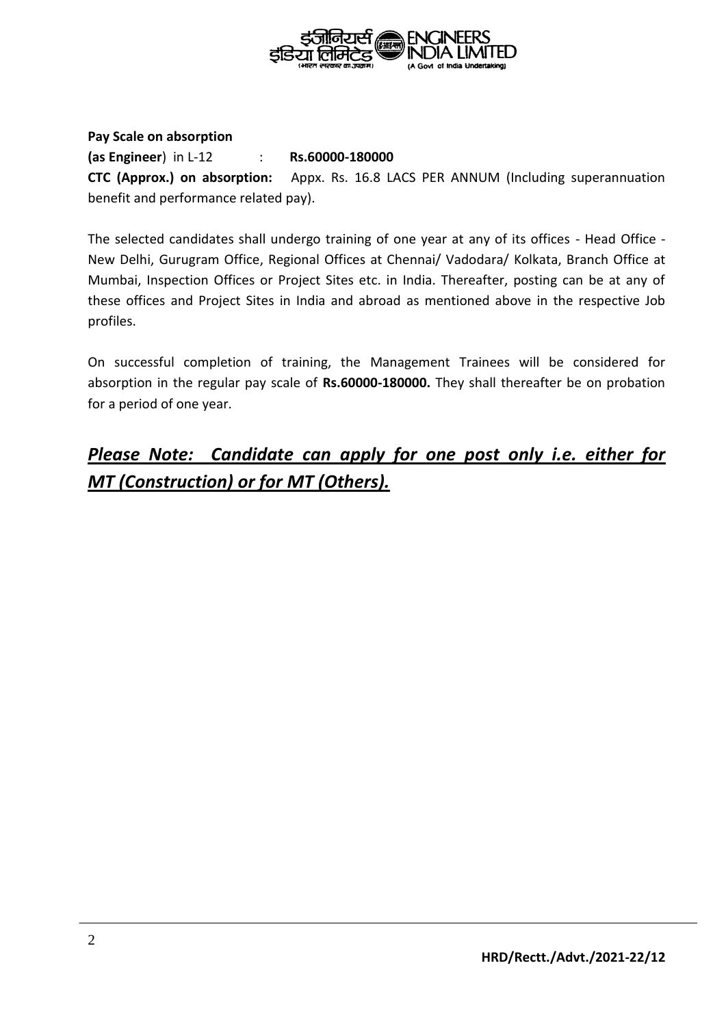

#### **Pay Scale on absorption**

**(as Engineer**) in L-12 : **Rs.60000-180000 CTC (Approx.) on absorption:** Appx. Rs. 16.8 LACS PER ANNUM (Including superannuation benefit and performance related pay).

The selected candidates shall undergo training of one year at any of its offices - Head Office - New Delhi, Gurugram Office, Regional Offices at Chennai/ Vadodara/ Kolkata, Branch Office at Mumbai, Inspection Offices or Project Sites etc. in India. Thereafter, posting can be at any of these offices and Project Sites in India and abroad as mentioned above in the respective Job profiles.

On successful completion of training, the Management Trainees will be considered for absorption in the regular pay scale of **Rs.60000-180000.** They shall thereafter be on probation for a period of one year.

# *Please Note: Candidate can apply for one post only i.e. either for MT (Construction) or for MT (Others).*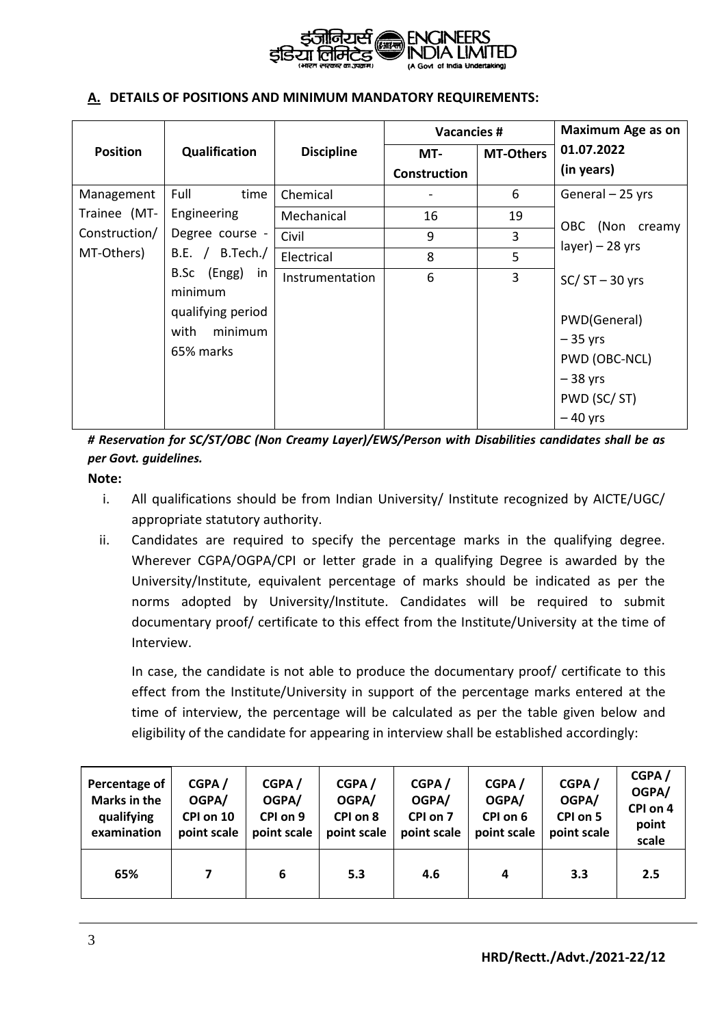

#### **A. DETAILS OF POSITIONS AND MINIMUM MANDATORY REQUIREMENTS:**

|                 |                                                              |                   | <b>Vacancies #</b>  |                  | <b>Maximum Age as on</b>                                                            |
|-----------------|--------------------------------------------------------------|-------------------|---------------------|------------------|-------------------------------------------------------------------------------------|
| <b>Position</b> | Qualification                                                | <b>Discipline</b> | MT-                 | <b>MT-Others</b> | 01.07.2022                                                                          |
|                 |                                                              |                   | <b>Construction</b> |                  | (in years)                                                                          |
| Management      | Full<br>time                                                 | Chemical          |                     | 6                | General - 25 yrs                                                                    |
| Trainee (MT-    | Engineering                                                  | Mechanical        | 16                  | 19               |                                                                                     |
| Construction/   | Degree course -                                              | Civil             | 9                   | 3                | (Non<br>OBC.<br>creamy<br>$layer$ ) – 28 yrs                                        |
| MT-Others)      | B.Tech./<br>B.E. /                                           | Electrical        | 8                   | 5                |                                                                                     |
|                 | B.Sc (Engg) in                                               | Instrumentation   | 6                   | 3                | $SC/ST - 30$ yrs                                                                    |
|                 | minimum<br>qualifying period<br>minimum<br>with<br>65% marks |                   |                     |                  | PWD(General)<br>$-35$ yrs<br>PWD (OBC-NCL)<br>$-38$ yrs<br>PWD (SC/ST)<br>$-40$ yrs |

*# Reservation for SC/ST/OBC (Non Creamy Layer)/EWS/Person with Disabilities candidates shall be as per Govt. guidelines.* 

#### **Note:**

- i. All qualifications should be from Indian University/ Institute recognized by AICTE/UGC/ appropriate statutory authority.
- ii. Candidates are required to specify the percentage marks in the qualifying degree. Wherever CGPA/OGPA/CPI or letter grade in a qualifying Degree is awarded by the University/Institute, equivalent percentage of marks should be indicated as per the norms adopted by University/Institute. Candidates will be required to submit documentary proof/ certificate to this effect from the Institute/University at the time of Interview.

In case, the candidate is not able to produce the documentary proof/ certificate to this effect from the Institute/University in support of the percentage marks entered at the time of interview, the percentage will be calculated as per the table given below and eligibility of the candidate for appearing in interview shall be established accordingly:

| Percentage of<br><b>Marks in the</b><br>qualifying<br>examination | CGPA/<br>OGPA/<br>CPI on 10<br>point scale | CGPA/<br>OGPA/<br>CPI on 9<br>point scale | CGPA/<br>OGPA/<br>CPI on 8<br>point scale | CGPA/<br>OGPA/<br>CPI on 7<br>point scale | CGPA/<br>OGPA/<br>CPI on 6<br>point scale | CGPA/<br>OGPA/<br>CPI on 5<br>point scale | CGPA/<br>OGPA/<br>CPI on 4<br>point<br>scale |
|-------------------------------------------------------------------|--------------------------------------------|-------------------------------------------|-------------------------------------------|-------------------------------------------|-------------------------------------------|-------------------------------------------|----------------------------------------------|
| 65%                                                               |                                            | 6                                         | 5.3                                       | 4.6                                       | 4                                         | 3.3                                       | 2.5                                          |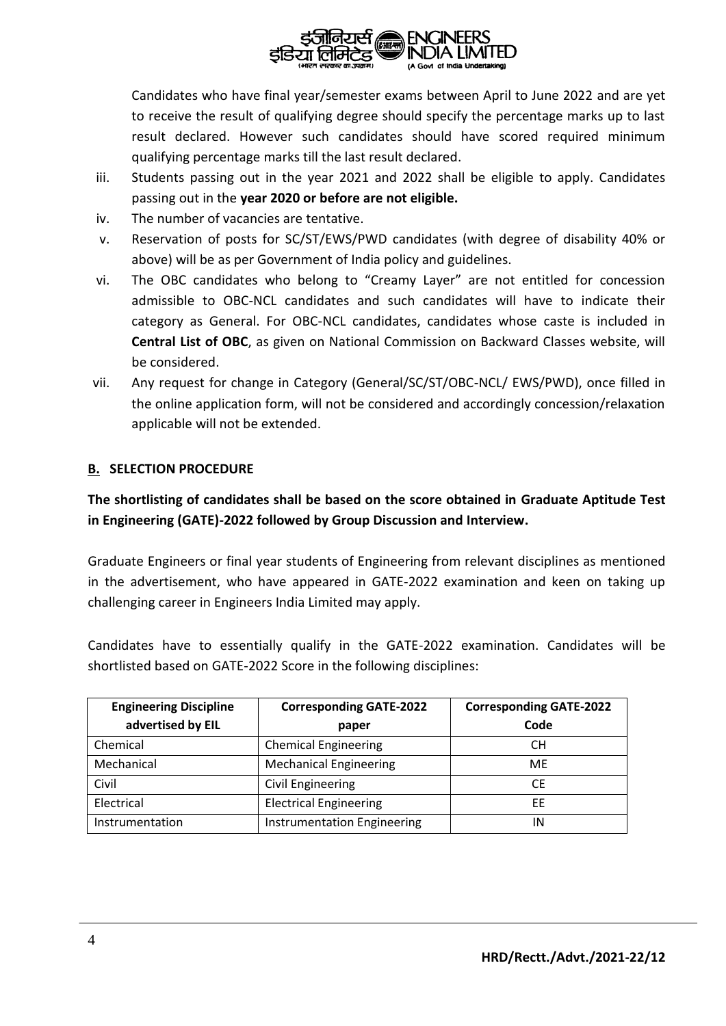

Candidates who have final year/semester exams between April to June 2022 and are yet to receive the result of qualifying degree should specify the percentage marks up to last result declared. However such candidates should have scored required minimum qualifying percentage marks till the last result declared.

- iii. Students passing out in the year 2021 and 2022 shall be eligible to apply. Candidates passing out in the **year 2020 or before are not eligible.**
- iv. The number of vacancies are tentative.
- v. Reservation of posts for SC/ST/EWS/PWD candidates (with degree of disability 40% or above) will be as per Government of India policy and guidelines.
- vi. The OBC candidates who belong to "Creamy Layer" are not entitled for concession admissible to OBC-NCL candidates and such candidates will have to indicate their category as General. For OBC-NCL candidates, candidates whose caste is included in **Central List of OBC**, as given on National Commission on Backward Classes website, will be considered.
- vii. Any request for change in Category (General/SC/ST/OBC-NCL/ EWS/PWD), once filled in the online application form, will not be considered and accordingly concession/relaxation applicable will not be extended.

### **B. SELECTION PROCEDURE**

**The shortlisting of candidates shall be based on the score obtained in Graduate Aptitude Test in Engineering (GATE)-2022 followed by Group Discussion and Interview.**

Graduate Engineers or final year students of Engineering from relevant disciplines as mentioned in the advertisement, who have appeared in GATE-2022 examination and keen on taking up challenging career in Engineers India Limited may apply.

Candidates have to essentially qualify in the GATE-2022 examination. Candidates will be shortlisted based on GATE-2022 Score in the following disciplines:

| <b>Engineering Discipline</b> | <b>Corresponding GATE-2022</b>     | <b>Corresponding GATE-2022</b> |
|-------------------------------|------------------------------------|--------------------------------|
| advertised by EIL             | paper                              | Code                           |
| Chemical                      | <b>Chemical Engineering</b>        | СH                             |
| Mechanical                    | <b>Mechanical Engineering</b>      | <b>ME</b>                      |
| Civil                         | <b>Civil Engineering</b>           | CE                             |
| Electrical                    | <b>Electrical Engineering</b>      | EE                             |
| Instrumentation               | <b>Instrumentation Engineering</b> | ΙN                             |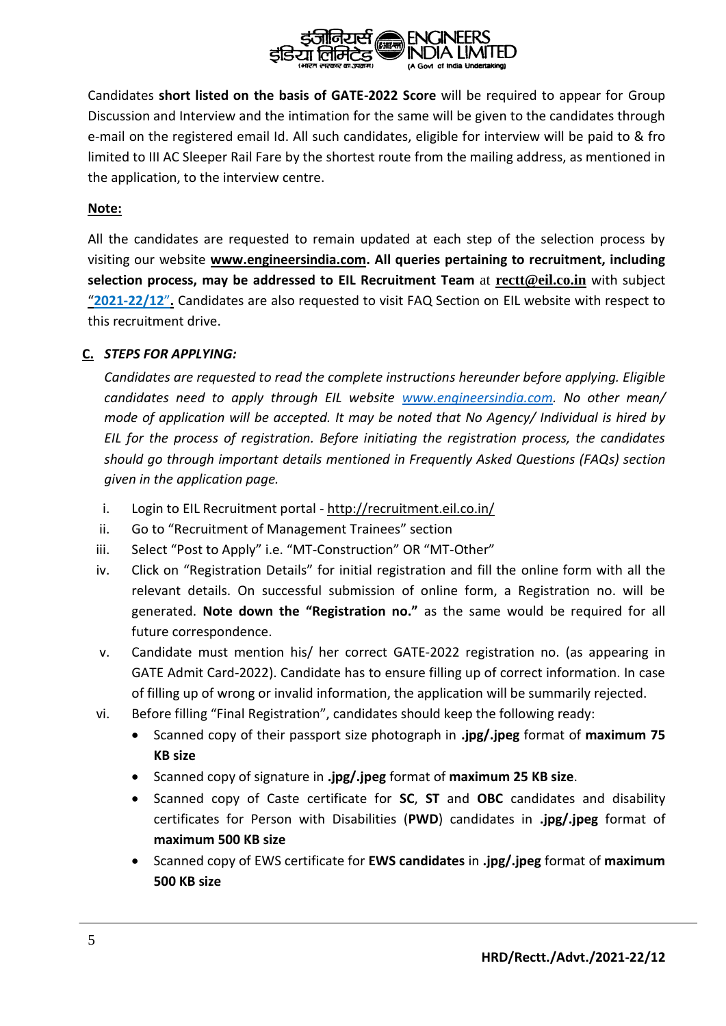

Candidates **short listed on the basis of GATE-2022 Score** will be required to appear for Group Discussion and Interview and the intimation for the same will be given to the candidates through e-mail on the registered email Id. All such candidates, eligible for interview will be paid to & fro limited to III AC Sleeper Rail Fare by the shortest route from the mailing address, as mentioned in the application, to the interview centre.

#### **Note:**

All the candidates are requested to remain updated at each step of the selection process by visiting our website **www.engineersindia.com. All queries pertaining to recruitment, including selection process, may be addressed to EIL Recruitment Team** at **rectt@eil.co.in** with subject "**2021-22/12**"**.** Candidates are also requested to visit FAQ Section on EIL website with respect to this recruitment drive.

### **C.** *STEPS FOR APPLYING:*

*Candidates are requested to read the complete instructions hereunder before applying. Eligible candidates need to apply through EIL website [www.engineersindia.com.](http://www.engineersindia.com/) No other mean/ mode of application will be accepted. It may be noted that No Agency/ Individual is hired by EIL for the process of registration. Before initiating the registration process, the candidates should go through important details mentioned in Frequently Asked Questions (FAQs) section given in the application page.*

- i. Login to EIL Recruitment portal <http://recruitment.eil.co.in/>
- ii. Go to "Recruitment of Management Trainees" section
- iii. Select "Post to Apply" i.e. "MT-Construction" OR "MT-Other"
- iv. Click on "Registration Details" for initial registration and fill the online form with all the relevant details. On successful submission of online form, a Registration no. will be generated. **Note down the "Registration no."** as the same would be required for all future correspondence.
- v. Candidate must mention his/ her correct GATE-2022 registration no. (as appearing in GATE Admit Card-2022). Candidate has to ensure filling up of correct information. In case of filling up of wrong or invalid information, the application will be summarily rejected.
- vi. Before filling "Final Registration", candidates should keep the following ready:
	- Scanned copy of their passport size photograph in **.jpg/.jpeg** format of **maximum 75 KB size**
	- Scanned copy of signature in **.jpg/.jpeg** format of **maximum 25 KB size**.
	- Scanned copy of Caste certificate for **SC**, **ST** and **OBC** candidates and disability certificates for Person with Disabilities (**PWD**) candidates in **.jpg/.jpeg** format of **maximum 500 KB size**
	- Scanned copy of EWS certificate for **EWS candidates** in **.jpg/.jpeg** format of **maximum 500 KB size**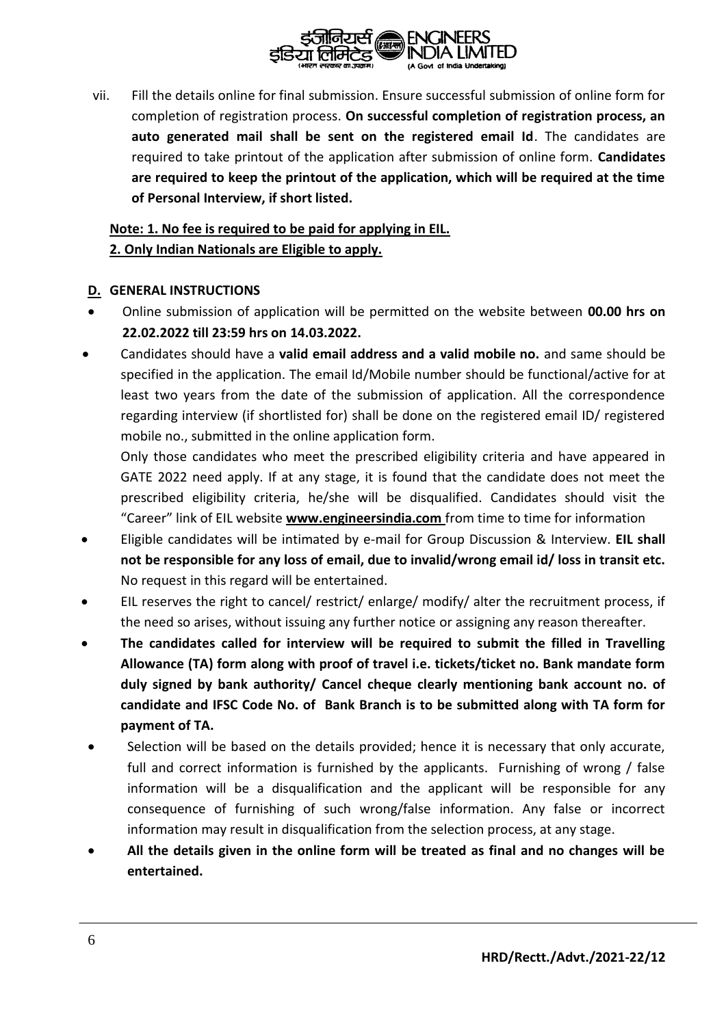

vii. Fill the details online for final submission. Ensure successful submission of online form for completion of registration process. **On successful completion of registration process, an auto generated mail shall be sent on the registered email Id**. The candidates are required to take printout of the application after submission of online form. **Candidates are required to keep the printout of the application, which will be required at the time of Personal Interview, if short listed.**

## **Note: 1. No fee is required to be paid for applying in EIL. 2. Only Indian Nationals are Eligible to apply.**

#### **D. GENERAL INSTRUCTIONS**

- Online submission of application will be permitted on the website between **00.00 hrs on 22.02.2022 till 23:59 hrs on 14.03.2022.**
- Candidates should have a **valid email address and a valid mobile no.** and same should be specified in the application. The email Id/Mobile number should be functional/active for at least two years from the date of the submission of application. All the correspondence regarding interview (if shortlisted for) shall be done on the registered email ID/ registered mobile no., submitted in the online application form.

Only those candidates who meet the prescribed eligibility criteria and have appeared in GATE 2022 need apply. If at any stage, it is found that the candidate does not meet the prescribed eligibility criteria, he/she will be disqualified. Candidates should visit the "Career" link of EIL website **[www.engineersindia.com](http://www.engineersindia.com/)** from time to time for information

- Eligible candidates will be intimated by e-mail for Group Discussion & Interview. **EIL shall not be responsible for any loss of email, due to invalid/wrong email id/ loss in transit etc.** No request in this regard will be entertained.
- EIL reserves the right to cancel/ restrict/ enlarge/ modify/ alter the recruitment process, if the need so arises, without issuing any further notice or assigning any reason thereafter.
- **The candidates called for interview will be required to submit the filled in Travelling Allowance (TA) form along with proof of travel i.e. tickets/ticket no. Bank mandate form duly signed by bank authority/ Cancel cheque clearly mentioning bank account no. of candidate and IFSC Code No. of Bank Branch is to be submitted along with TA form for payment of TA.**
- Selection will be based on the details provided; hence it is necessary that only accurate, full and correct information is furnished by the applicants. Furnishing of wrong / false information will be a disqualification and the applicant will be responsible for any consequence of furnishing of such wrong/false information. Any false or incorrect information may result in disqualification from the selection process, at any stage.
- **All the details given in the online form will be treated as final and no changes will be entertained.**